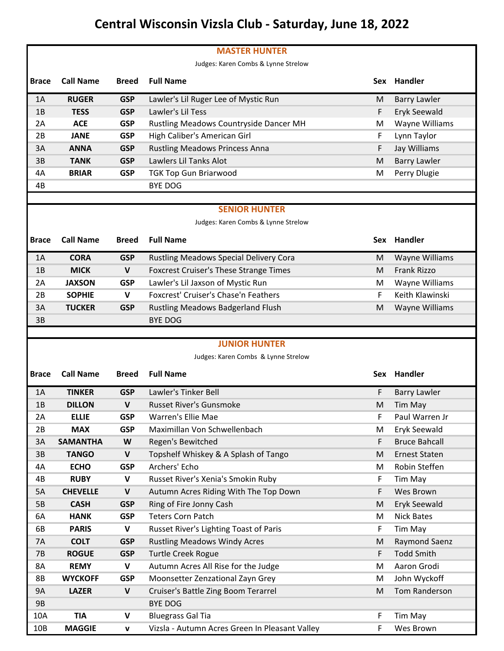## **Central Wisconsin Vizsla Club - Saturday, June 18, 2022**

|              |                  |              | <b>MASTER HUNTER</b>                          |            |                      |
|--------------|------------------|--------------|-----------------------------------------------|------------|----------------------|
|              |                  |              | Judges: Karen Combs & Lynne Strelow           |            |                      |
| <b>Brace</b> | <b>Call Name</b> | <b>Breed</b> | <b>Full Name</b>                              | <b>Sex</b> | Handler              |
| 1A           | <b>RUGER</b>     | <b>GSP</b>   | Lawler's Lil Ruger Lee of Mystic Run          | м          | <b>Barry Lawler</b>  |
| 1B           | <b>TESS</b>      | <b>GSP</b>   | Lawler's Lil Tess                             | F          | Eryk Seewald         |
| 2A           | <b>ACE</b>       | <b>GSP</b>   | Rustling Meadows Countryside Dancer MH        | M          | Wayne Williams       |
| 2B           | <b>JANE</b>      | <b>GSP</b>   | High Caliber's American Girl                  | F          | Lynn Taylor          |
| 3A           | <b>ANNA</b>      | <b>GSP</b>   | <b>Rustling Meadows Princess Anna</b>         | F          | Jay Williams         |
| 3B           | <b>TANK</b>      | <b>GSP</b>   | Lawlers Lil Tanks Alot                        | M          | <b>Barry Lawler</b>  |
| 4A           | <b>BRIAR</b>     | <b>GSP</b>   | <b>TGK Top Gun Briarwood</b>                  | м          | Perry Dlugie         |
| 4B           |                  |              | <b>BYE DOG</b>                                |            |                      |
|              |                  |              |                                               |            |                      |
|              |                  |              | <b>SENIOR HUNTER</b>                          |            |                      |
|              |                  |              | Judges: Karen Combs & Lynne Strelow           |            |                      |
| <b>Brace</b> | <b>Call Name</b> | <b>Breed</b> | <b>Full Name</b>                              |            | Sex Handler          |
| 1A           | <b>CORA</b>      | <b>GSP</b>   | Rustling Meadows Special Delivery Cora        | M          | Wayne Williams       |
| 1B           | <b>MICK</b>      | $\mathsf{V}$ | <b>Foxcrest Cruiser's These Strange Times</b> | M          | <b>Frank Rizzo</b>   |
| 2A           | <b>JAXSON</b>    | <b>GSP</b>   | Lawler's Lil Jaxson of Mystic Run             | M          | Wayne Williams       |
| 2B           | <b>SOPHIE</b>    | $\mathbf v$  | Foxcrest' Cruiser's Chase'n Feathers          | F          | Keith Klawinski      |
| 3A           | <b>TUCKER</b>    | <b>GSP</b>   | Rustling Meadows Badgerland Flush             | M          | Wayne Williams       |
|              |                  |              |                                               |            |                      |
| 3B           |                  |              | <b>BYE DOG</b>                                |            |                      |
|              |                  |              |                                               |            |                      |
|              |                  |              | <b>JUNIOR HUNTER</b>                          |            |                      |
|              |                  |              | Judges: Karen Combs & Lynne Strelow           |            |                      |
| <b>Brace</b> | <b>Call Name</b> | <b>Breed</b> | <b>Full Name</b>                              | <b>Sex</b> | Handler              |
| 1Α           | <b>TINKER</b>    | <b>GSP</b>   | Lawler's Tinker Bell                          | F          | <b>Barry Lawler</b>  |
| 1B           | <b>DILLON</b>    | $\mathbf v$  | <b>Russet River's Gunsmoke</b>                | M          | <b>Tim May</b>       |
| 2A           | <b>ELLIE</b>     | <b>GSP</b>   | Warren's Ellie Mae                            | F          | Paul Warren Jr       |
| 2B           | <b>MAX</b>       | <b>GSP</b>   | Maximillan Von Schwellenbach                  | M          | Eryk Seewald         |
| 3A           | <b>SAMANTHA</b>  | W            | Regen's Bewitched                             | F          | <b>Bruce Bahcall</b> |
| 3B           | <b>TANGO</b>     | $\mathsf{V}$ | Topshelf Whiskey & A Splash of Tango          | M          | <b>Ernest Staten</b> |
| 4A           | <b>ECHO</b>      | <b>GSP</b>   | Archers' Echo                                 | M          | Robin Steffen        |
| 4B           | <b>RUBY</b>      | V            | Russet River's Xenia's Smokin Ruby            | F          | Tim May              |
| 5A           | <b>CHEVELLE</b>  | V            | Autumn Acres Riding With The Top Down         | F          | Wes Brown            |
| 5B           | <b>CASH</b>      | <b>GSP</b>   | Ring of Fire Jonny Cash                       | M          | Eryk Seewald         |
| 6A           | <b>HANK</b>      | <b>GSP</b>   | <b>Teters Corn Patch</b>                      | M          | <b>Nick Bates</b>    |
| 6B           | <b>PARIS</b>     | V            | Russet River's Lighting Toast of Paris        | F          | Tim May              |
| <b>7A</b>    | <b>COLT</b>      | <b>GSP</b>   | <b>Rustling Meadows Windy Acres</b>           | M          | Raymond Saenz        |
| <b>7B</b>    | <b>ROGUE</b>     | <b>GSP</b>   | <b>Turtle Creek Rogue</b>                     | F          | <b>Todd Smith</b>    |
| 8A           | <b>REMY</b>      | V            | Autumn Acres All Rise for the Judge           | M          | Aaron Grodi          |
| 8B           | <b>WYCKOFF</b>   | <b>GSP</b>   | Moonsetter Zenzational Zayn Grey              | M          | John Wyckoff         |
| <b>9A</b>    | <b>LAZER</b>     | $\mathsf{V}$ | Cruiser's Battle Zing Boom Terarrel           | M          | Tom Randerson        |
| <b>9B</b>    |                  |              | <b>BYE DOG</b>                                |            |                      |
| 10A          | <b>TIA</b>       | V            | <b>Bluegrass Gal Tia</b>                      | F          | Tim May              |